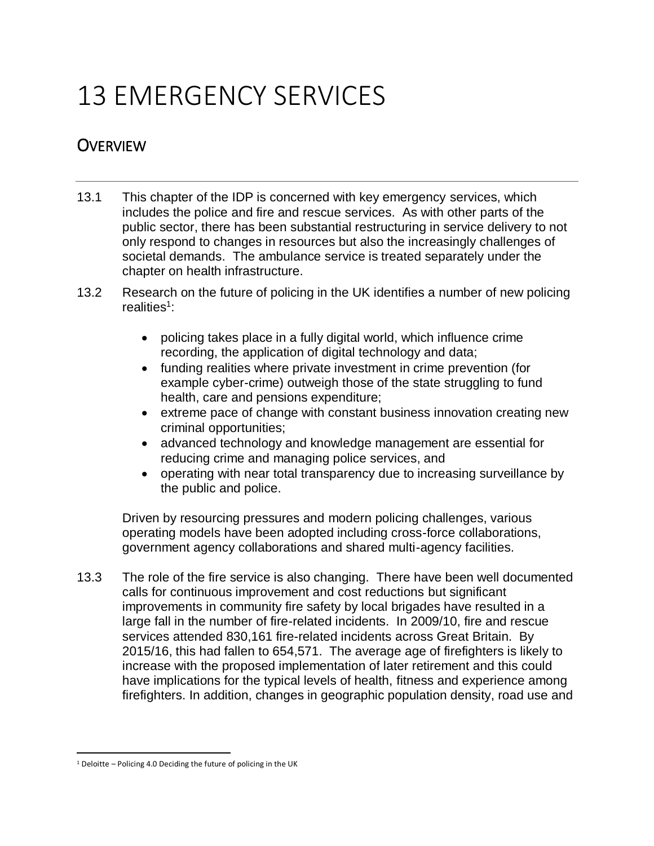# 13 EMERGENCY SERVICES

## **OVERVIEW**

- 13.1 This chapter of the IDP is concerned with key emergency services, which includes the police and fire and rescue services. As with other parts of the public sector, there has been substantial restructuring in service delivery to not only respond to changes in resources but also the increasingly challenges of societal demands. The ambulance service is treated separately under the chapter on health infrastructure.
- 13.2 Research on the future of policing in the UK identifies a number of new policing realities<sup>1</sup>:
	- policing takes place in a fully digital world, which influence crime recording, the application of digital technology and data;
	- funding realities where private investment in crime prevention (for example cyber-crime) outweigh those of the state struggling to fund health, care and pensions expenditure;
	- extreme pace of change with constant business innovation creating new criminal opportunities;
	- advanced technology and knowledge management are essential for reducing crime and managing police services, and
	- operating with near total transparency due to increasing surveillance by the public and police.

Driven by resourcing pressures and modern policing challenges, various operating models have been adopted including cross-force collaborations, government agency collaborations and shared multi-agency facilities.

13.3 The role of the fire service is also changing. There have been well documented calls for continuous improvement and cost reductions but significant improvements in community fire safety by local brigades have resulted in a large fall in the number of fire-related incidents. In 2009/10, fire and rescue services attended 830,161 fire-related incidents across Great Britain. By 2015/16, this had fallen to 654,571. The average age of firefighters is likely to increase with the proposed implementation of later retirement and this could have implications for the typical levels of health, fitness and experience among firefighters. In addition, changes in geographic population density, road use and

 $\overline{\phantom{a}}$ 

 $1$  Deloitte – Policing 4.0 Deciding the future of policing in the UK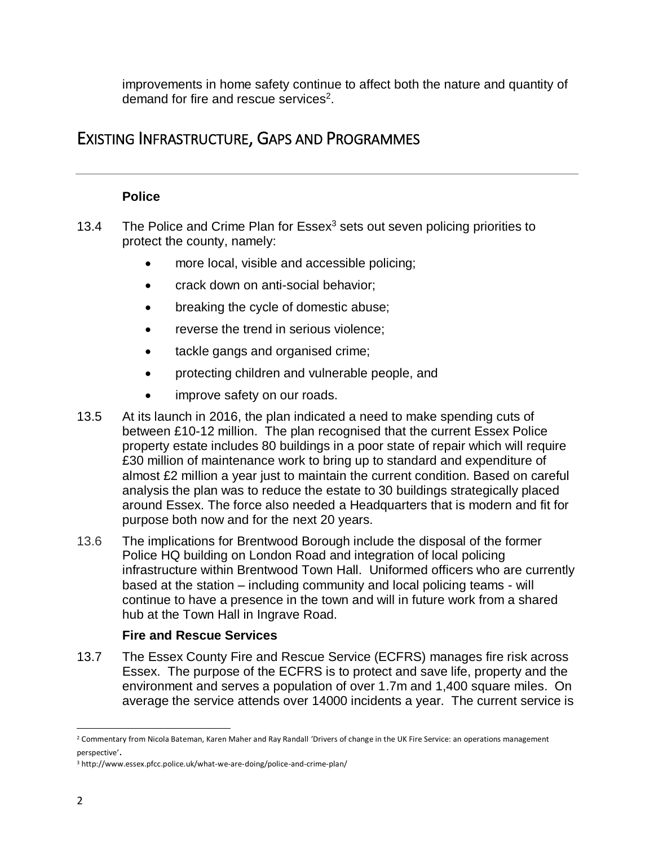improvements in home safety continue to affect both the nature and quantity of demand for fire and rescue services<sup>2</sup>.

## EXISTING INFRASTRUCTURE, GAPS AND PROGRAMMES

#### **Police**

- 13.4 The Police and Crime Plan for  $Essex<sup>3</sup>$  sets out seven policing priorities to protect the county, namely:
	- more local, visible and accessible policing;
	- crack down on anti-social behavior;
	- breaking the cycle of domestic abuse;
	- reverse the trend in serious violence;
	- tackle gangs and organised crime;
	- protecting children and vulnerable people, and
	- improve safety on our roads.
- 13.5 At its launch in 2016, the plan indicated a need to make spending cuts of between £10-12 million. The plan recognised that the current Essex Police property estate includes 80 buildings in a poor state of repair which will require £30 million of maintenance work to bring up to standard and expenditure of almost £2 million a year just to maintain the current condition. Based on careful analysis the plan was to reduce the estate to 30 buildings strategically placed around Essex. The force also needed a Headquarters that is modern and fit for purpose both now and for the next 20 years.
- 13.6 The implications for Brentwood Borough include the disposal of the former Police HQ building on London Road and integration of local policing infrastructure within Brentwood Town Hall. Uniformed officers who are currently based at the station – including community and local policing teams - will continue to have a presence in the town and will in future work from a shared hub at the Town Hall in Ingrave Road.

#### **Fire and Rescue Services**

13.7 The Essex County Fire and Rescue Service (ECFRS) manages fire risk across Essex. The purpose of the ECFRS is to protect and save life, property and the environment and serves a population of over 1.7m and 1,400 square miles. On average the service attends over 14000 incidents a year. The current service is

 $\overline{a}$ <sup>2</sup> Commentary from Nicola Bateman, Karen Maher and Ray Randall 'Drivers of change in the UK Fire Service: an operations management perspective'.

<sup>3</sup> http://www.essex.pfcc.police.uk/what-we-are-doing/police-and-crime-plan/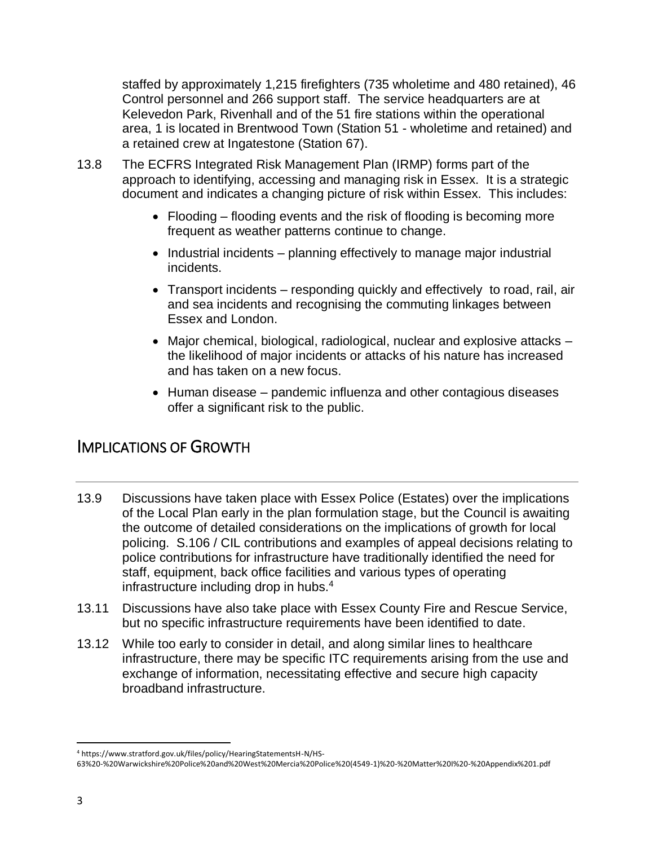staffed by approximately 1,215 firefighters (735 wholetime and 480 retained), 46 Control personnel and 266 support staff. The service headquarters are at Kelevedon Park, Rivenhall and of the 51 fire stations within the operational area, 1 is located in Brentwood Town (Station 51 - wholetime and retained) and a retained crew at Ingatestone (Station 67).

- 13.8 The ECFRS Integrated Risk Management Plan (IRMP) forms part of the approach to identifying, accessing and managing risk in Essex. It is a strategic document and indicates a changing picture of risk within Essex. This includes:
	- Flooding flooding events and the risk of flooding is becoming more frequent as weather patterns continue to change.
	- Industrial incidents planning effectively to manage major industrial incidents.
	- Transport incidents responding quickly and effectively to road, rail, air and sea incidents and recognising the commuting linkages between Essex and London.
	- Major chemical, biological, radiological, nuclear and explosive attacks the likelihood of major incidents or attacks of his nature has increased and has taken on a new focus.
	- Human disease pandemic influenza and other contagious diseases offer a significant risk to the public.

## IMPLICATIONS OF GROWTH

- 13.9 Discussions have taken place with Essex Police (Estates) over the implications of the Local Plan early in the plan formulation stage, but the Council is awaiting the outcome of detailed considerations on the implications of growth for local policing. S.106 / CIL contributions and examples of appeal decisions relating to police contributions for infrastructure have traditionally identified the need for staff, equipment, back office facilities and various types of operating infrastructure including drop in hubs.<sup>4</sup>
- 13.11 Discussions have also take place with Essex County Fire and Rescue Service, but no specific infrastructure requirements have been identified to date.
- 13.12 While too early to consider in detail, and along similar lines to healthcare infrastructure, there may be specific ITC requirements arising from the use and exchange of information, necessitating effective and secure high capacity broadband infrastructure.

 $\overline{a}$ <sup>4</sup> https://www.stratford.gov.uk/files/policy/HearingStatementsH-N/HS-

<sup>63%20-%20</sup>Warwickshire%20Police%20and%20West%20Mercia%20Police%20(4549-1)%20-%20Matter%20I%20-%20Appendix%201.pdf